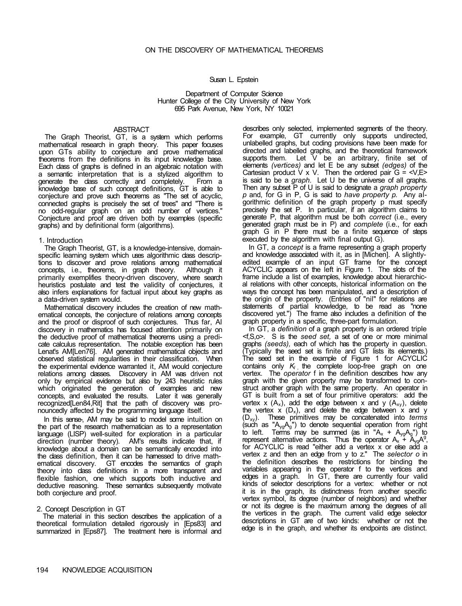#### Susan L. Epstein

Department of Computer Science Hunter College of the City University of New York 695 Park Avenue, New York, NY 10021

#### ABSTRACT

The Graph Theorist, GT, is a system which performs mathematical research in graph theory. This paper focuses upon GTs ability to conjecture and prove mathematical theorems from the definitions in its input knowledge base. Each class of graphs is defined in an algebraic notation with a semantic interpretation that is a stylized algorithm to generate the class correctly and completely. From a knowledge base of such concept definitions, GT is able to conjecture and prove such theorems as "The set of acyclic, connected graphs is precisely the set of trees" and "There is no odd-regular graph on an odd number of vertices." Conjecture and proof are driven both by examples (specific graphs) and by definitional form (algorithms).

### 1. Introduction

The Graph Theorist, GT, is a knowledge-intensive, domainspecific learning system which uses algorithmic dass descriptions to discover and prove relations among mathematical<br>concepts, i.e., theorems, in graph theory. Although it concepts, i.e., theorems, in graph theory. primarily exemplifies theory-driven discovery, where search heuristics postulate and test the validity of conjectures, it also infers explanations for factual input about key graphs as a data-driven system would.

Mathematical discovery includes the creation of new mathematical concepts, the conjecture of relations among concepts and the proof or disproof of such conjectures. Thus far, AI discovery in mathematics has focused attention primarily on the deductive proof of mathematical theorems using a predicate calculus representation. The notable exception has been Lenat's AM[Len76]. AM generated mathematical objects and observed statistical regularities in their classification. When the experimental evidence warranted it, AM would conjecture relations among classes. Discovery in AM was driven not only by empirical evidence but also by 243 heuristic rules which originated the generation of examples and new concepts, and evaluated the results. Later it was generally recognized[Len84,Rit] that the path of discovery was pronouncedly affected by the programming language itself.

In this sense-, AM may be said to model some intuition on the part of the research mathematician as to a representation language (LISP) well-suited for exploration in a particular direction (number theory). AM's results indicate that, if knowledge about a domain can be semantically encoded into the class definition, then it can be harnessed to drive mathematical discovery. GT encodes the semantics of graph theory into class definitions in a more transparent and flexible fashion, one which supports both inductive and deductive reasoning. These semantics subsequently motivate both conjecture and proof.

### 2. Concept Description in GT

The material in this section describes the application of a theoretical formulation detailed rigorously in [Eps83] and summarized in [Eps87]. The treatment here is informal and

describes only selected, implemented segments of the theory. For example, GT currently only supports undirected, unlabelled graphs, but coding provisions have been made for directed and labelled graphs, and the theoretical framework supports them. Let V be an arbitrary, finite set of elements *(vertices)* and let E be any subset *(edges)* of the Cartesian product  $V \times V$ . Then the ordered pair  $G = \langle V, E \rangle$ is said to be a *graph.* Let U be the universe of all graphs. Then any subset P of U is said to designate a *graph property p* and, for G in P, G is said to *have property p.* Any algorithmic definition of the graph property p must specify precisely the set P. In particular, if an algorithm claims to generate P, that algorithm must be both *correct* (i.e., every generated graph must be in P) and *complete* (i.e., for each graph G in P there must be a finite sequence of steps executed by the algorithm with final output G).

In GT, a *concept* is a frame representing a graph property and knowledge associated with it, as in [Michen]. A slightlyedited example of an input GT frame for the concept ACYCLIC appears on the left in Figure 1. The slots of the frame include a list of examples, knowledge about hierarchical relations with other concepts, historical information on the ways the concept has been manipulated, and a description of the origin of the property. (Entries of "nil" for relations are statements of partial knowledge, to be read as "none discovered yet.") The frame also includes a definition of the graph property in a specific, three-part formulation.

In GT, a *definition* of a graph property is an ordered triple <f,S,o>. S is the *seed set,* a set of one or more minimal graphs *(seeds),* each of which has the property in question. (Typically the seed set is finite and GT lists its elements.) The seed set in the example of Figure 1 for ACYCLIC contains only K<sub>*l*</sub> the complete loop-free graph on one vertex. The *operator* f in the definition describes how any graph with the given property may be transformed to construct another graph with the same property. An operator in GT is built from a set of four primitive operators: add the vertex x  $(A_x)$ , add the edge between x and y  $(A_{xy})$ , delete the vertex  $x (D_x)$ , and delete the edge between  $x$  and y (Dxy). These primitives may be concatenated into *terms*  (such as " $A_{\gamma g}A_{g}$ ") to denote sequential operation from right to left. Terms may be summed (as in " $A_x + A_{yg}A_g$ ") to represent alternative actions. Thus the operator  $A_x^2$   $A_y^2 A_y^3$ , for ACYCLIC is read "either add a vertex x or else add a vertex z and then an edge from y to z." The *selector o* in the definition describes the restrictions for binding the variables appearing in the operator f to the vertices and edges in a graph. In GT, there are currently four valid kinds of selector descriptions for a vertex: whether or not it is in the graph, its distinctness from another specific vertex symbol, its degree (number of neighbors) and whether or not its degree is the maximum among the degrees of all the vertices in the graph. The current valid edge selector descriptions in GT are of two kinds: whether or not the edge is in the graph, and whether its endpoints are distinct.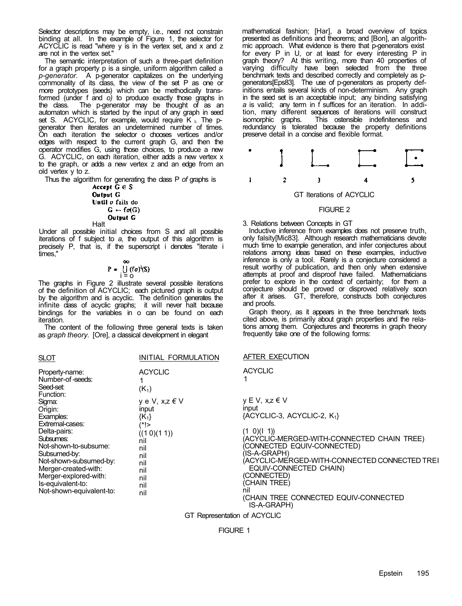Selector descriptions may be empty, i.e., need not constrain binding at all. In the example of Figure 1, the selector for ACYCLIC is read "where y is in the vertex set, and x and z are not in the vertex set."

The semantic interpretation of such a three-part definition for a graph property p is a single, uniform algorithm called a *p-generator.* A p-generator capitalizes on the underlying commonality of its class, the view of the set P as one or more prototypes (seeds) which can be methodically transformed (under f and *o)* to produce exactly those graphs in the class. The p-generator may be thought of as an automaton which is started by the input of any graph in seed set S. ACYCLIC, for example, would require  $K_{\perp}$ . The pgenerator then iterates an undetermined number of times. On each iteration the selector o chooses vertices and/or edges with respect to the current graph G, and then the operator modifies G, using those choices, to produce a new G. ACYCLIC, on each iteration, either adds a new vertex x to the graph, or adds a new vertex z and an edge from an old vertex y to z.

Thus the algorithm for generating the class P *of* graphs is

Accept 
$$
G \in S
$$
  
\nOutput G  
\nUntil  $\sigma$  fails do  
\n $G \leftarrow \text{fo}(G)$   
\nOutput G  
\nHalf

Under all possible initial choices from S and all possible iterations of f subject to *a,* the output of this algorithm is precisely P, that is, if the superscript i denotes "iterate i times,"

$$
P = \bigcup_{i=0}^{\infty} (f\sigma)^{i}(S)
$$

The graphs in Figure 2 illustrate several possible iterations of the definition of ACYCLIC; each pictured graph is output by the algorithm and is acyclic. The definition generates the infinite class of acyclic graphs; it will never halt because bindings for the variables in o can be found on each iteration.

The content of the following three general texts is taken as *graph theory.* [Ore], a classical development in elegant

| <u>SLOT</u>                                                                                                                                                                                                                                                                             | INITIAL FORMULATION                                                                                                               | AFTER EXECUTION                                                                                                                                                                                                                                                                                                |
|-----------------------------------------------------------------------------------------------------------------------------------------------------------------------------------------------------------------------------------------------------------------------------------------|-----------------------------------------------------------------------------------------------------------------------------------|----------------------------------------------------------------------------------------------------------------------------------------------------------------------------------------------------------------------------------------------------------------------------------------------------------------|
| Property-name:<br>Number-of-seeds:<br>Seed-set:<br>Function:<br>Sigma:<br>Origin:<br>Examples:<br>Extremal-cases:<br>Delta-pairs:<br>Subsumes:<br>Not-shown-to-subsume:<br>Subsumed-by:<br>Not-shown-subsumed-by:<br>Merger-created-with:<br>Merger-explored-with:<br>Is-equivalent-to: | <b>ACYCLIC</b><br>$(K_1)$<br>y e V, x,z € V<br>input<br>$\{K_1\}$<br>(*!><br>((10)(11))<br>nil<br>nil<br>nil<br>nil<br>nil<br>nil | <b>ACYCLIC</b><br>$v \in V$ , x,z $\in V$<br><b>Input</b><br>${ACYCLIC-3, ACYCLIC-2, K1}$<br>(1 0)(1 1)<br>(ACYCLIC-MERGED-WITH-CONNECTED CHAIN TREE)<br>(CONNECTED EQUIV-CONNECTED)<br>(IS-A-GRAPH)<br>(ACYCLIC-MERGED-WITH-CONNECTED CONNECTED TREI<br>EQUIV-CONNECTED CHAIN)<br>(CONNECTED)<br>(CHAIN TREE) |
| Not-shown-equivalent-to:                                                                                                                                                                                                                                                                | nil<br>nil                                                                                                                        | nil<br>(CHAIN TREE CONNECTED EQUIV-CONNECTED<br>IS-A-GRAPH)                                                                                                                                                                                                                                                    |

GT Representation of ACYCLIC

FIGURE 1

mathematical fashion; [Har], a broad overview of topics presented as definitions and theorems; and [Bon], an algorithmic approach. What evidence is there that p-generators exist for every P in U, or at least for every interesting P in graph theory? At this writing, more than 40 properties of varying difficulty have been selected from the three benchmark texts and described correctly and completely as pgenerators[Eps83]. The use of p-generators as property definitions entails several kinds of non-determinism. Any graph in the seed set is an acceptable input; any binding satisfying *a* is valid; any term in f suffices for an iteration. In addition, many different sequences of iterations will construct isomorphic graphs. This ostensible indefiniteness and This ostensible indefiniteness and redundancy is tolerated because the property definitions preserve detail in a concise and flexible format.



# FIGURE 2

3. Relations between Concepts in GT

Inductive inference from examples does not preserve truth, only falsity[Mic83]. Although research mathematicians devote much time to example generation, and infer conjectures about relations among ideas based on these examples, inductive inference is only a tool. Rarely is a conjecture considered a result worthy of publication, and then only when extensive attempts at proof and disproof have failed. Mathematicians prefer to explore in the context of certainty; for them a conjecture should be proved or disproved relatively soon after it arises. GT, therefore, constructs both conjectures and proofs.

Graph theory, as it appears in the three benchmark texts cited above, is primarily about graph properties and the relations among them. Conjectures and theorems in graph theory frequently take one of the following forms: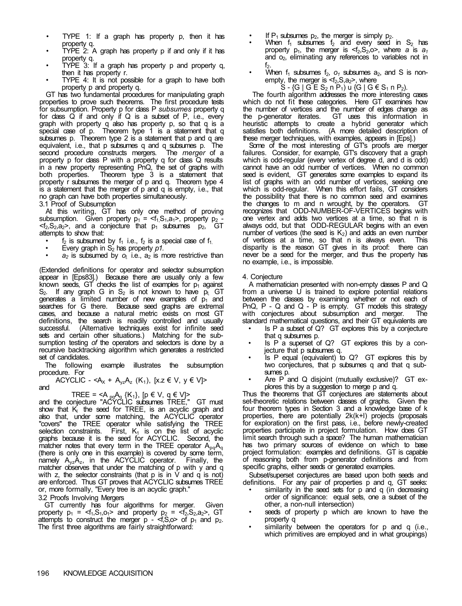- TYPE 1: If a graph has property p, then it has property q.
- TYPE 2: A graph has property p if and only if it has property q.
- TYPE 3: If a graph has property p and property q, then it has property r.
- TYPE 4: It is not possible for a graph to have both property p and property q.

GT has two fundamental procedures for manipulating graph properties to prove such theorems. The first procedure tests for subsumption. Property p for class P *subsumes* property q for class Q if and only if Q is a subset of P, i.e., every graph with property q also has property p, so that q is a special case of p. Theorem type 1 is a statement that q subsumes p. Theorem type 2 is a statement that p and q are equivalent, i.e., that p subsumes q and q subsumes p. The second procedure constructs mergers. The *merger* of a property p for class P with a property q for class Q results in a new property representing PnQ, the set of graphs with both properties. Theorem type 3 is a statement that property r subsumes the merger of p and q. Theorem type 4 is a statement that the merger of p and q is empty, i.e., that no graph can have both properties simultaneously.

3.1 Proof of Subsumption

At this writing, GT has only one method of proving subsumption. Given property  $p_1 = \langle f_1, S_1, a_1 \rangle$ , property  $p_2$  $\leq f_2, S_2, a_2$ , and a conjecture that  $p_1$  subsumes  $p_2$ , attempts to show that:

- $f_2$  is subsumed by  $f_1$  i.e.,  $f_2$  is a special case of  $f_1$ .
- Every graph in S2 has property *p1.*
- $a_2$  is subsumed by  $o_1$  i.e.,  $a_2$  is more restrictive than

(Extended definitions for operator and selector subsumption appear in [Eps83].) Because there are usually only a few known seeds, GT checks the list of examples for  $p_1$  against  $S_2$ . If any graph G in  $S_2$  is not known to have  $p_1$  GT generates a limited number of new examples of  $p_1$  and searches for G there. Because seed graphs are extremal cases, and because a natural metric exists on most GT definitions, the search is readily controlled and usually successful. (Alternative techniques exist for infinite seed sets and certain other situations.) Matching for the subsumption testing *of* the operators and selectors is done by a recursive backtracking algorithm which generates a restricted set of candidates.

The following example illustrates the subsumption procedure. For

ACYCLIC - < $A_X$  +  $A_{yz}A_z$  (K<sub>1</sub>), [x.z  $\in V$ ,  $y \in V$ ]> and

TREE = <A <sub>pq</sub>A<sub>q</sub> {K<sub>1</sub>}, [p  $\in$  V, q  $\in$  V]>

and the conjecture "ACYCLIC subsumes TREE," GT must show that  $K_1$  the seed for TREE, is an acyclic graph and also that, under some matching, the ACYCLIC operator "covers" the TREE operator while satisfying the TREE selection constraints. First,  $K_1$  is on the list of acyclic graphs because it is the seed for ACYCLIC. Second, the matcher notes that every term in the TREE operator  $A_{\text{no}}A_{\text{q}}$ (there is only one in this example) is covered by some term, namely  $A_{yz}A_{z}$ , in the ACYCLIC operator. Finally, the matcher observes that under the matching of p with y and q with z, the selector constraints (that  $p$  is in  $V$  and  $q$  is not) are enforced. Thus GT proves that ACYCLIC subsumes TREE or, more formally, "Every tree is an acyclic graph."

3.2 Proofs Involving Mergers

GT currently has four algorithms for merger. Given property  $p_1 = \langle f_1, S_1, o_1 \rangle$  and property  $p_2 = \langle f_2, S_2, a_2 \rangle$ , GT attempts to construct the merger  $p - \le f, S, o$  of  $p_1$  and  $p_2$ . The first three algorithms are fairly straightforward:

- If  $P_1$  subsumes  $p_2$ , the merger is simply  $p_2$ .
- When  $f_1$  subsumes  $f_2$  and every seed in  $S_2$  has property  $p_1$ , the merger is  $\leq f_2, S_2, o$ , where *a* is  $a_1$ and  $o<sub>2</sub>$ , eliminating any references to variables not in  $f_2$ .
- When  $f_1$  subsumes  $f_2$ ,  $o_1$  subsumes  $a_2$ , and S is nonempty, the merger is  $\leq f_2, S, a_2$ >, where

 $S - {G | G \in S_2 n P_1}$  u  ${G | G \in S_1 n P_2}$ .

The fourth algorithm addresses the more interesting cases which do not fit these categories. Here GT examines how the number of vertices and the number of edges change as<br>the p-generator iterates. GT uses this information in GT uses this information in heuristic attempts to create a hybrid generator which satisfies both definitions. (A more detailed description of these merger techniques, with examples, appears in [Eps].)

Some of the most interesting of GT's proofs are merger failures. Consider, for example, GT's discovery that a graph which is odd-regular (every vertex of degree d, and d is odd) cannot have an odd number of vertices. When no common seed is evident, GT generates some examples to expand its list of graphs with an odd number of vertices, seeking one which is odd-regular. When this effort fails, GT considers the possibility that there is no common seed and examines the changes to m and n wrought, by the operators. GT recognizes that ODD-NUMBER-OF-VERTICES begins with one vertex and adds two vertices at a time, so that n is always odd, but that ODD-REGULAR begins with an even number of vertices (the seed is  $K_2$ ) and adds an even number of vertices at a time, so that n is always even. This disparity is the reason GT gives in its proof: there can never be a seed for the merger, and thus the property has no example, i.e., is impossible.

# 4. Conjecture

A mathematician presented with non-empty classes P and Q from a universe U is trained to explore potential relations between the classes by examining whether or not each of PnQ,  $P - Q$  and  $Q - P$  is empty. GT models this strategy with conjectures about subsumption and merger. The standard mathematical questions, and their GT equivalents are

- Is P a subset of Q? GT explores this by a conjecture that q subsumes p.
- Is P a superset of Q? GT explores this by a conjecture that p subsumes q.
- Is P equal (equivalent) to Q? GT explores this by two conjectures, that p subsumes q and that q subsumes p.
- Are P and Q disjoint (mutually exclusive)? GT explores this by a suggestion to merge p and q.

Thus the theorems that GT conjectures are statements about set-theoretic relations between classes of graphs. Given the four theorem types in Section 3 and a knowledge base of k properties, there are potentially 2k(k+l) projects (proposals for exploration) on the first pass, i.e., before newly-created properties participate in project formulation. How does GT limit search through such a space? The human mathematician has two primary sources of evidence on which to base project formulation: examples and definitions. GT is capable of reasoning both from p-generator definitions and from specific graphs, either seeds or generated examples.

Subset/superset conjectures are based upon both seeds and definitions. For any pair of properties p and q, GT seeks:

- similarity in the seed sets for p and q (in decreasing order of significance: equal sets, one a subset of the other, a non-null intersection)
- seeds of property p which are known to have the property q
- similarity between the operators for p and q (i.e., which primitives are employed and in what groupings)